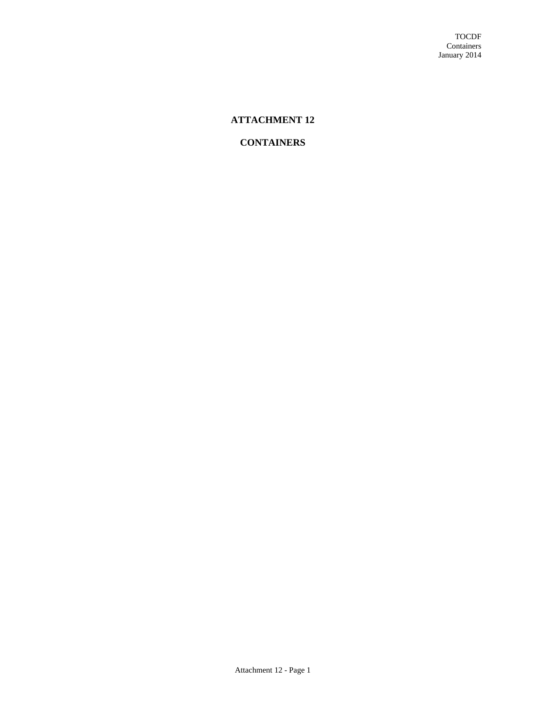# **ATTACHMENT 12**

# **CONTAINERS**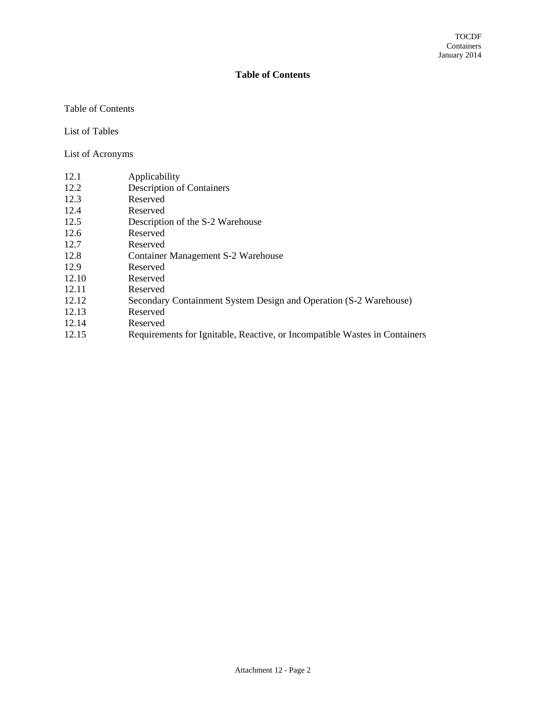## **Table of Contents**

### Table of Contents

List of Tables

List of Acronyms

- 12.2 Description of Containers
- 12.3 Reserved
- 12.4 Reserved
- 12.5 Description of the S-2 Warehouse
- 12.6 Reserved
- 12.7 Reserved
- 12.8 Container Management S-2 Warehouse
- 12.9 Reserved
- 12.10 Reserved
- 12.11 Reserved
- 12.12 Secondary Containment System Design and Operation (S-2 Warehouse)
- 12.13 Reserved
- 12.14 Reserved
- 12.15 Requirements for Ignitable, Reactive, or Incompatible Wastes in Containers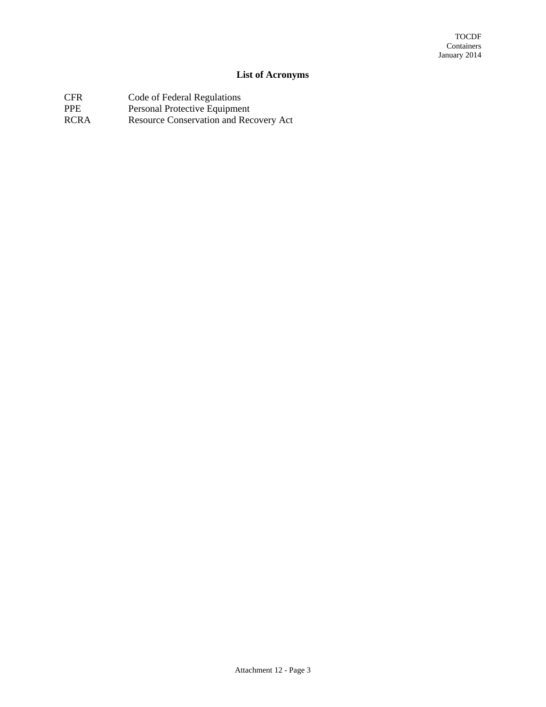# **List of Acronyms**

- CFR Code of Federal Regulations
- PPE Personal Protective Equipment
- RCRA Resource Conservation and Recovery Act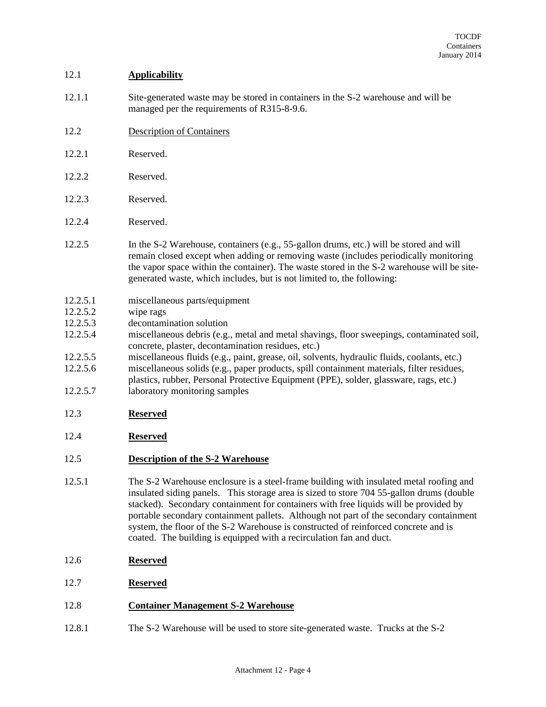## 12.1 **Applicability**

- 12.1.1 Site-generated waste may be stored in containers in the S-2 warehouse and will be managed per the requirements of R315-8-9.6.
- 12.2 Description of Containers
- 12.2.1 Reserved.
- 12.2.2 Reserved.
- 12.2.3 Reserved.
- 12.2.4 Reserved.
- 12.2.5 In the S-2 Warehouse, containers (e.g., 55-gallon drums, etc.) will be stored and will remain closed except when adding or removing waste (includes periodically monitoring the vapor space within the container). The waste stored in the S-2 warehouse will be sitegenerated waste, which includes, but is not limited to, the following:
- 12.2.5.1 miscellaneous parts/equipment
- 12.2.5.2 wipe rags
- 12.2.5.3 decontamination solution
- 12.2.5.4 miscellaneous debris (e.g., metal and metal shavings, floor sweepings, contaminated soil, concrete, plaster, decontamination residues, etc.)
- 12.2.5.5 miscellaneous fluids (e.g., paint, grease, oil, solvents, hydraulic fluids, coolants, etc.)
- 12.2.5.6 miscellaneous solids (e.g., paper products, spill containment materials, filter residues, plastics, rubber, Personal Protective Equipment (PPE), solder, glassware, rags, etc.)
- 12.2.5.7 laboratory monitoring samples
- 12.3 **Reserved**
- 12.4 **Reserved**

# 12.5 **Description of the S-2 Warehouse**

- 12.5.1 The S-2 Warehouse enclosure is a steel-frame building with insulated metal roofing and insulated siding panels. This storage area is sized to store 704 55-gallon drums (double stacked). Secondary containment for containers with free liquids will be provided by portable secondary containment pallets. Although not part of the secondary containment system, the floor of the S-2 Warehouse is constructed of reinforced concrete and is coated. The building is equipped with a recirculation fan and duct.
- 12.6 **Reserved**
- 12.7 **Reserved**

### 12.8 **Container Management S-2 Warehouse**

12.8.1 The S-2 Warehouse will be used to store site-generated waste. Trucks at the S-2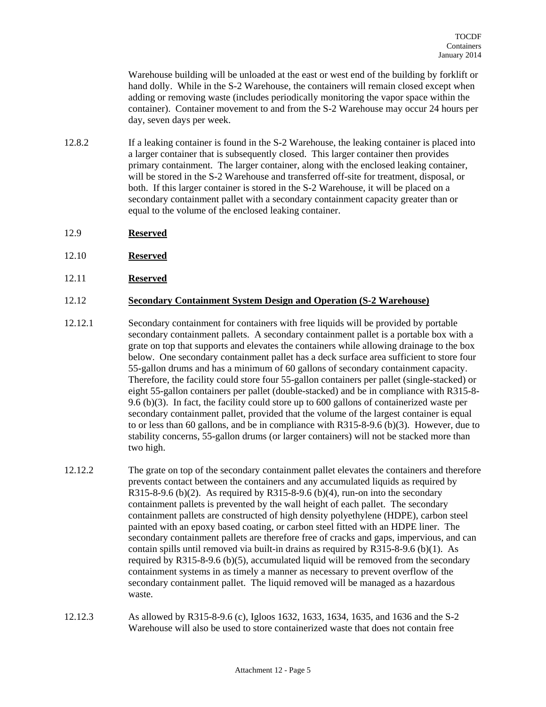Warehouse building will be unloaded at the east or west end of the building by forklift or hand dolly. While in the S-2 Warehouse, the containers will remain closed except when adding or removing waste (includes periodically monitoring the vapor space within the container). Container movement to and from the S-2 Warehouse may occur 24 hours per day, seven days per week.

- 12.8.2 If a leaking container is found in the S-2 Warehouse, the leaking container is placed into a larger container that is subsequently closed. This larger container then provides primary containment. The larger container, along with the enclosed leaking container, will be stored in the S-2 Warehouse and transferred off-site for treatment, disposal, or both. If this larger container is stored in the S-2 Warehouse, it will be placed on a secondary containment pallet with a secondary containment capacity greater than or equal to the volume of the enclosed leaking container.
- 12.9 **Reserved**
- 12.10 **Reserved**
- 12.11 **Reserved**

#### 12.12 **Secondary Containment System Design and Operation (S-2 Warehouse)**

- 12.12.1 Secondary containment for containers with free liquids will be provided by portable secondary containment pallets. A secondary containment pallet is a portable box with a grate on top that supports and elevates the containers while allowing drainage to the box below. One secondary containment pallet has a deck surface area sufficient to store four 55-gallon drums and has a minimum of 60 gallons of secondary containment capacity. Therefore, the facility could store four 55-gallon containers per pallet (single-stacked) or eight 55-gallon containers per pallet (double-stacked) and be in compliance with R315-8- 9.6 (b)(3). In fact, the facility could store up to 600 gallons of containerized waste per secondary containment pallet, provided that the volume of the largest container is equal to or less than 60 gallons, and be in compliance with R315-8-9.6 (b)(3). However, due to stability concerns, 55-gallon drums (or larger containers) will not be stacked more than two high.
- 12.12.2 The grate on top of the secondary containment pallet elevates the containers and therefore prevents contact between the containers and any accumulated liquids as required by R315-8-9.6 (b)(2). As required by R315-8-9.6 (b)(4), run-on into the secondary containment pallets is prevented by the wall height of each pallet. The secondary containment pallets are constructed of high density polyethylene (HDPE), carbon steel painted with an epoxy based coating, or carbon steel fitted with an HDPE liner. The secondary containment pallets are therefore free of cracks and gaps, impervious, and can contain spills until removed via built-in drains as required by R315-8-9.6 (b)(1). As required by R315-8-9.6 (b)(5), accumulated liquid will be removed from the secondary containment systems in as timely a manner as necessary to prevent overflow of the secondary containment pallet. The liquid removed will be managed as a hazardous waste.
- 12.12.3 As allowed by R315-8-9.6 (c), Igloos 1632, 1633, 1634, 1635, and 1636 and the S-2 Warehouse will also be used to store containerized waste that does not contain free